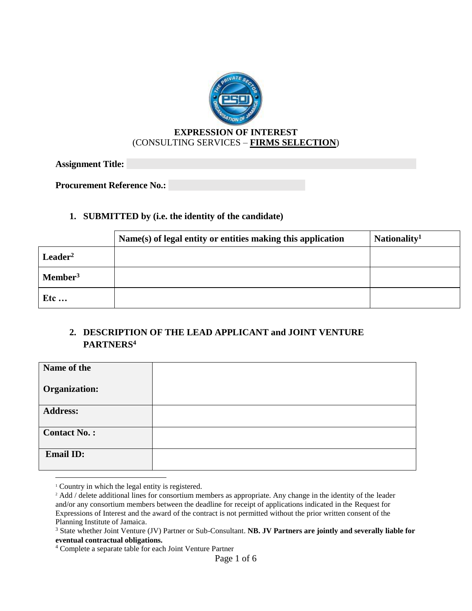

### **EXPRESSION OF INTEREST** (CONSULTING SERVICES – **FIRMS SELECTION**)

**Assignment Title:** 

**Procurement Reference No.:** 

### **1. SUBMITTED by (i.e. the identity of the candidate)**

|                     | Name(s) of legal entity or entities making this application | Nationality <sup>1</sup> |
|---------------------|-------------------------------------------------------------|--------------------------|
| $\text{Leader}^2$   |                                                             |                          |
| Member <sup>3</sup> |                                                             |                          |
| Etc                 |                                                             |                          |

# **2. DESCRIPTION OF THE LEAD APPLICANT and JOINT VENTURE PARTNERS<sup>4</sup>**

| Name of the          |  |
|----------------------|--|
| <b>Organization:</b> |  |
| <b>Address:</b>      |  |
| <b>Contact No.:</b>  |  |
| <b>Email ID:</b>     |  |

 $\overline{a}$ 

<sup>&</sup>lt;sup>1</sup> Country in which the legal entity is registered.

<sup>&</sup>lt;sup>2</sup> Add / delete additional lines for consortium members as appropriate. Any change in the identity of the leader and/or any consortium members between the deadline for receipt of applications indicated in the Request for Expressions of Interest and the award of the contract is not permitted without the prior written consent of the Planning Institute of Jamaica.

<sup>3</sup> State whether Joint Venture (JV) Partner or Sub-Consultant. **NB. JV Partners are jointly and severally liable for eventual contractual obligations.**

<sup>4</sup> Complete a separate table for each Joint Venture Partner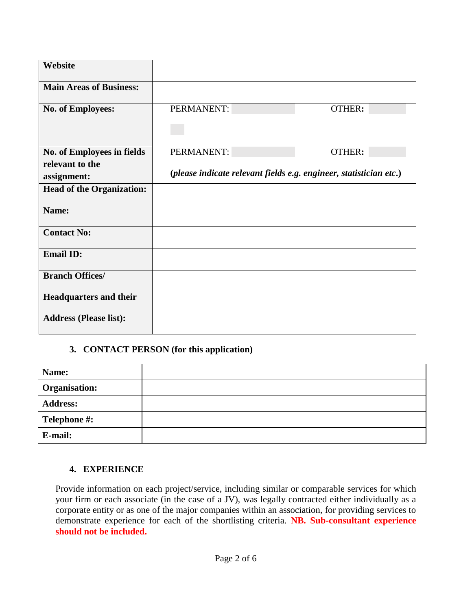| Website                           |            |                                                                    |
|-----------------------------------|------------|--------------------------------------------------------------------|
|                                   |            |                                                                    |
| <b>Main Areas of Business:</b>    |            |                                                                    |
|                                   |            |                                                                    |
| <b>No. of Employees:</b>          | PERMANENT: | <b>OTHER:</b>                                                      |
|                                   |            |                                                                    |
|                                   |            |                                                                    |
|                                   |            |                                                                    |
|                                   |            |                                                                    |
| <b>No. of Employees in fields</b> | PERMANENT: | OTHER:                                                             |
| relevant to the                   |            |                                                                    |
|                                   |            | (please indicate relevant fields e.g. engineer, statistician etc.) |
| assignment:                       |            |                                                                    |
| <b>Head of the Organization:</b>  |            |                                                                    |
|                                   |            |                                                                    |
| Name:                             |            |                                                                    |
|                                   |            |                                                                    |
|                                   |            |                                                                    |
| <b>Contact No:</b>                |            |                                                                    |
|                                   |            |                                                                    |
| <b>Email ID:</b>                  |            |                                                                    |
|                                   |            |                                                                    |
| <b>Branch Offices/</b>            |            |                                                                    |
|                                   |            |                                                                    |
|                                   |            |                                                                    |
| <b>Headquarters and their</b>     |            |                                                                    |
|                                   |            |                                                                    |
| <b>Address (Please list):</b>     |            |                                                                    |
|                                   |            |                                                                    |

## **3. CONTACT PERSON (for this application)**

| Name:                |  |
|----------------------|--|
| <b>Organisation:</b> |  |
| <b>Address:</b>      |  |
| Telephone #:         |  |
| E-mail:              |  |

### **4. EXPERIENCE**

Provide information on each project/service, including similar or comparable services for which your firm or each associate (in the case of a JV), was legally contracted either individually as a corporate entity or as one of the major companies within an association, for providing services to demonstrate experience for each of the shortlisting criteria. **NB. Sub-consultant experience should not be included.**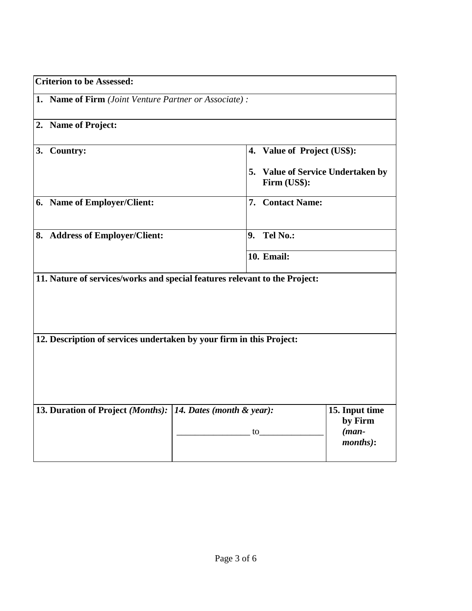| <b>Criterion to be Assessed:</b>                                           |                |                                                   |                                                          |
|----------------------------------------------------------------------------|----------------|---------------------------------------------------|----------------------------------------------------------|
| 1. Name of Firm (Joint Venture Partner or Associate):                      |                |                                                   |                                                          |
| 2. Name of Project:                                                        |                |                                                   |                                                          |
| <b>Country:</b><br>3.                                                      |                | 4. Value of Project (US\$):                       |                                                          |
|                                                                            |                | 5. Value of Service Undertaken by<br>Firm (US\$): |                                                          |
| 6. Name of Employer/Client:                                                |                | 7. Contact Name:                                  |                                                          |
| 8. Address of Employer/Client:                                             | 9 <sub>1</sub> | Tel No.:                                          |                                                          |
|                                                                            |                | <b>10. Email:</b>                                 |                                                          |
| 11. Nature of services/works and special features relevant to the Project: |                |                                                   |                                                          |
| 12. Description of services undertaken by your firm in this Project:       |                |                                                   |                                                          |
| 13. Duration of Project (Months): 14. Dates (month & year):                | to             |                                                   | 15. Input time<br>by Firm<br>$(man-$<br><i>months</i> ): |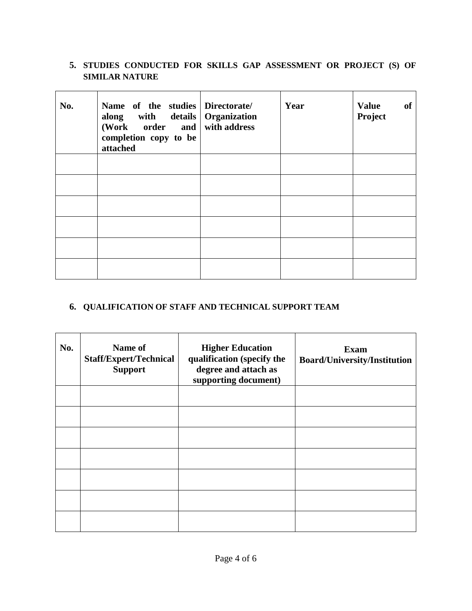## **5. STUDIES CONDUCTED FOR SKILLS GAP ASSESSMENT OR PROJECT (S) OF SIMILAR NATURE**

| No. | Name of the studies Directorate<br>along with details Organization<br>(Work order and with address<br>completion copy to be<br>attached | Year | <b>Value</b><br>of<br>Project |
|-----|-----------------------------------------------------------------------------------------------------------------------------------------|------|-------------------------------|
|     |                                                                                                                                         |      |                               |
|     |                                                                                                                                         |      |                               |
|     |                                                                                                                                         |      |                               |
|     |                                                                                                                                         |      |                               |
|     |                                                                                                                                         |      |                               |
|     |                                                                                                                                         |      |                               |

# **6. QUALIFICATION OF STAFF AND TECHNICAL SUPPORT TEAM**

| No. | Name of<br><b>Staff/Expert/Technical</b><br><b>Support</b> | <b>Higher Education</b><br>qualification (specify the<br>degree and attach as<br>supporting document) | <b>Exam</b><br><b>Board/University/Institution</b> |
|-----|------------------------------------------------------------|-------------------------------------------------------------------------------------------------------|----------------------------------------------------|
|     |                                                            |                                                                                                       |                                                    |
|     |                                                            |                                                                                                       |                                                    |
|     |                                                            |                                                                                                       |                                                    |
|     |                                                            |                                                                                                       |                                                    |
|     |                                                            |                                                                                                       |                                                    |
|     |                                                            |                                                                                                       |                                                    |
|     |                                                            |                                                                                                       |                                                    |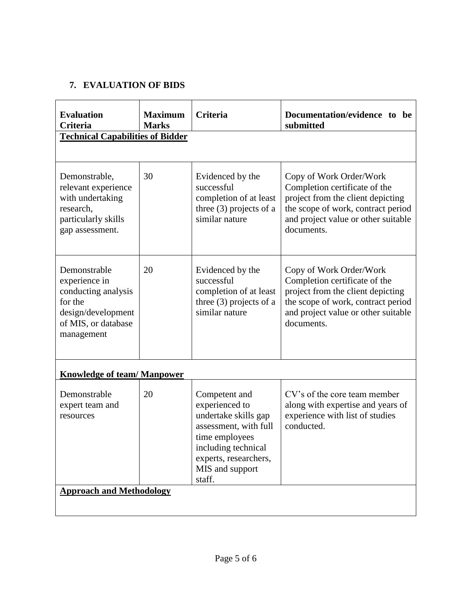# **7. EVALUATION OF BIDS**

| <b>Evaluation</b><br><b>Criteria</b>                                                                                       | <b>Maximum</b><br><b>Marks</b> | <b>Criteria</b>                                                                                                                                                                 | Documentation/evidence to be<br>submitted                                                                                                                                                |
|----------------------------------------------------------------------------------------------------------------------------|--------------------------------|---------------------------------------------------------------------------------------------------------------------------------------------------------------------------------|------------------------------------------------------------------------------------------------------------------------------------------------------------------------------------------|
| <b>Technical Capabilities of Bidder</b>                                                                                    |                                |                                                                                                                                                                                 |                                                                                                                                                                                          |
|                                                                                                                            |                                |                                                                                                                                                                                 |                                                                                                                                                                                          |
| Demonstrable,<br>relevant experience<br>with undertaking<br>research,<br>particularly skills<br>gap assessment.            | 30                             | Evidenced by the<br>successful<br>completion of at least<br>three $(3)$ projects of a<br>similar nature                                                                         | Copy of Work Order/Work<br>Completion certificate of the<br>project from the client depicting<br>the scope of work, contract period<br>and project value or other suitable<br>documents. |
| Demonstrable<br>experience in<br>conducting analysis<br>for the<br>design/development<br>of MIS, or database<br>management | 20                             | Evidenced by the<br>successful<br>completion of at least<br>three (3) projects of a<br>similar nature                                                                           | Copy of Work Order/Work<br>Completion certificate of the<br>project from the client depicting<br>the scope of work, contract period<br>and project value or other suitable<br>documents. |
| <b>Knowledge of team/Manpower</b>                                                                                          |                                |                                                                                                                                                                                 |                                                                                                                                                                                          |
| Demonstrable<br>expert team and<br>resources                                                                               | 20                             | Competent and<br>experienced to<br>undertake skills gap<br>assessment, with full<br>time employees<br>including technical<br>experts, researchers,<br>MIS and support<br>staff. | CV's of the core team member<br>along with expertise and years of<br>experience with list of studies<br>conducted.                                                                       |
| <b>Approach and Methodology</b>                                                                                            |                                |                                                                                                                                                                                 |                                                                                                                                                                                          |